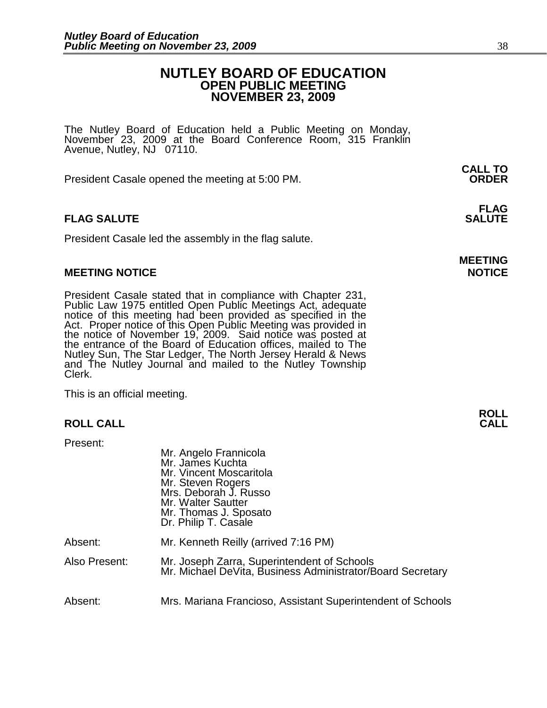# **NUTLEY BOARD OF EDUCATION OPEN PUBLIC MEETING NOVEMBER 23, 2009**

The Nutley Board of Education held a Public Meeting on Monday, November 23, 2009 at the Board Conference Room, 315 Franklin Avenue, Nutley, NJ 07110.

 **CALL TO**  President Casale opened the meeting at 5:00 PM. **ORDER**

President Casale led the assembly in the flag salute.

### **MEETING NOTICE NOTICE**

President Casale stated that in compliance with Chapter 231, Public Law 1975 entitled Open Public Meetings Act, adequate notice of this meeting had been provided as specified in the Act. Proper notice of this Open Public Meeting was provided in the notice of November 19, 2009. Said notice was posted at the entrance of the Board of Education offices, mailed to The Nutley Sun, The Star Ledger, The North Jersey Herald & News and The Nutley Journal and mailed to the Nutley Township Clerk.

This is an official meeting.

### **ROLL CALL**

Present:

|               | Mr. Angelo Frannicola<br>Mr. James Kuchta<br>Mr. Vincent Moscaritola<br>Mr. Steven Rogers<br>Mrs. Deborah J. Russo<br>Mr. Walter Sautter<br>Mr. Thomas J. Sposato<br>Dr. Philip T. Casale |
|---------------|-------------------------------------------------------------------------------------------------------------------------------------------------------------------------------------------|
| Absent:       | Mr. Kenneth Reilly (arrived 7:16 PM)                                                                                                                                                      |
| Also Present: | Mr. Joseph Zarra, Superintendent of Schools<br>Mr. Michael DeVita, Business Administrator/Board Secretary                                                                                 |
| Absent:       | Mrs. Mariana Francioso, Assistant Superintendent of Schools                                                                                                                               |

### **FLAG FLAG SALUTE SALUTE**

# **MEETING**

**ROLL**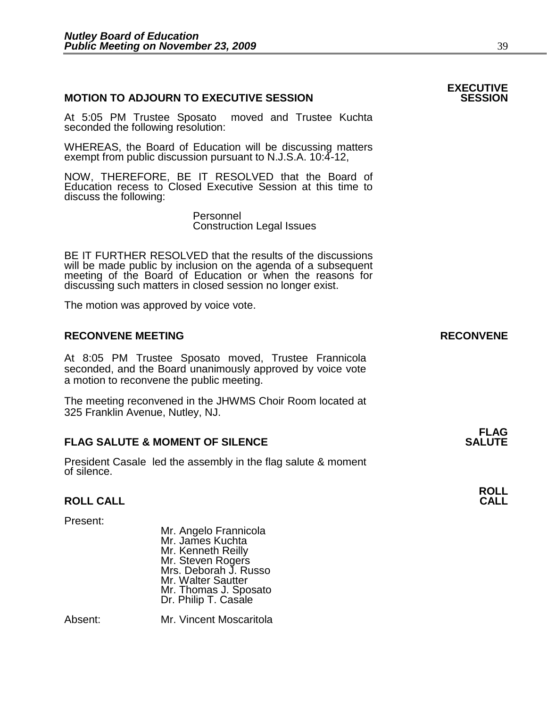# **MOTION TO ADJOURN TO EXECUTIVE SESSION**

At 5:05 PM Trustee Sposato moved and Trustee Kuchta seconded the following resolution:

WHEREAS, the Board of Education will be discussing matters exempt from public discussion pursuant to N.J.S.A. 10:4-12,

NOW, THEREFORE, BE IT RESOLVED that the Board of Education recess to Closed Executive Session at this time to discuss the following:

> Personnel Construction Legal Issues

BE IT FURTHER RESOLVED that the results of the discussions will be made public by inclusion on the agenda of a subsequent meeting of the Board of Education or when the reasons for discussing such matters in closed session no longer exist.

The motion was approved by voice vote.

### **RECONVENE MEETING RECONVENE**

At 8:05 PM Trustee Sposato moved, Trustee Frannicola seconded, and the Board unanimously approved by voice vote a motion to reconvene the public meeting.

The meeting reconvened in the JHWMS Choir Room located at 325 Franklin Avenue, Nutley, NJ.

#### **FLAG SALUTE & MOMENT OF SILENCE SALUTE**

President Casale led the assembly in the flag salute & moment of silence.

# **ROLL CALL**

Present:

 Mr. Angelo Frannicola Mr. James Kuchta Mr. Kenneth Reilly Mr. Steven Rogers Mrs. Deborah J. Russo Mr. Walter Sautter Mr. Thomas J. Sposato **Dr. Philip T. Casale** 

Absent: Mr. Vincent Moscaritola

# **EXECUTIVE**

**FLAG** 

**ROLL**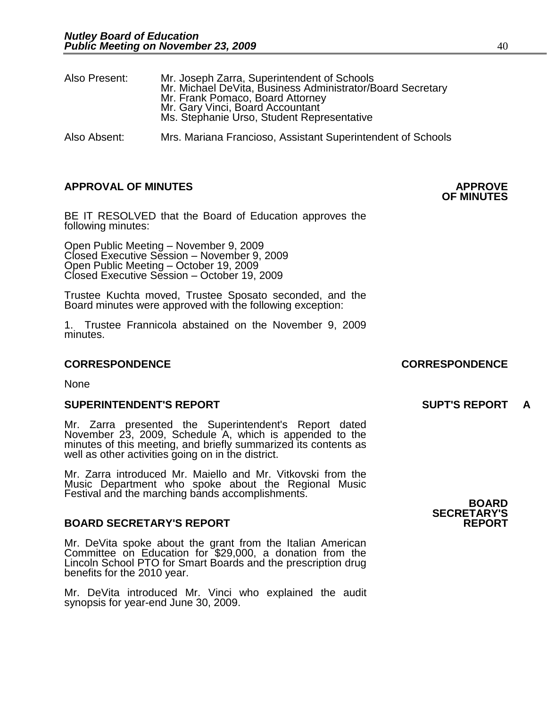| Also Present: | Mr. Joseph Zarra, Superintendent of Schools<br>Mr. Michael DeVita, Business Administrator/Board Secretary<br>Mr. Frank Pomaco, Board Attorney<br>Mr. Gary Vinci, Board Accountant<br>Ms. Stephanie Urso, Student Representative |
|---------------|---------------------------------------------------------------------------------------------------------------------------------------------------------------------------------------------------------------------------------|
| Also Absent:  | Mrs. Mariana Francioso, Assistant Superintendent of Schools                                                                                                                                                                     |

# **APPROVAL OF MINUTES APPROVE**

BE IT RESOLVED that the Board of Education approves the following minutes:

 Open Public Meeting – November 9, 2009 Closed Executive Session – November 9, 2009 Open Public Meeting – October 19, 2009 Closed Executive Session – October 19, 2009

Trustee Kuchta moved, Trustee Sposato seconded, and the Board minutes were approved with the following exception:

1. Trustee Frannicola abstained on the November 9, 2009 minutes.

#### **CORRESPONDENCE CORRESPONDENCE**

None

#### **SUPERINTENDENT'S REPORT SUPT'S REPORT A**

Mr. Zarra presented the Superintendent's Report dated November 23, 2009, Schedule A, which is appended to the minutes of this meeting, and briefly summarized its contents as well as other activities going on in the district.

Mr. Zarra introduced Mr. Maiello and Mr. Vitkovski from the Music Department who spoke about the Regional Music Festival and the marching bands accomplishments.

#### **BOARD SECRETARY'S REPORT**

Mr. DeVita spoke about the grant from the Italian American Committee on Education for \$29,000, a donation from the Lincoln School PTO for Smart Boards and the prescription drug benefits for the 2010 year.

Mr. DeVita introduced Mr. Vinci who explained the audit synopsis for year-end June 30, 2009.

**BOARD SECRETARY'S** 

# **OF MINUTES**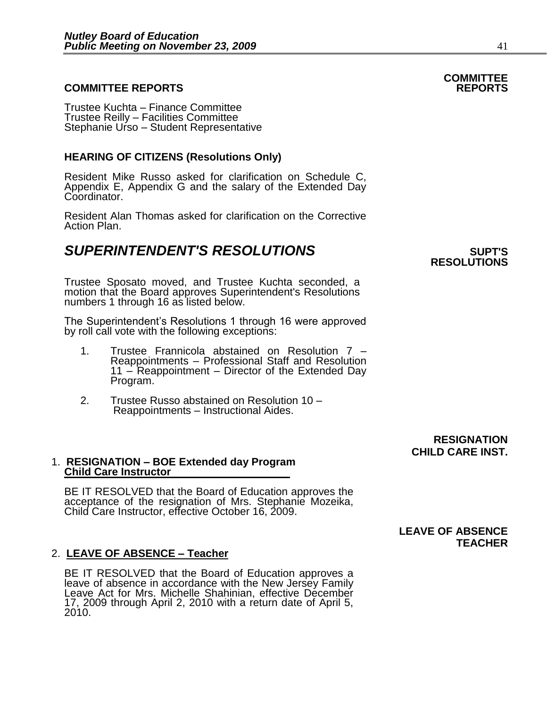### **COMMITTEE REPORTS REPORTS**

Trustee Kuchta – Finance Committee Trustee Reilly – Facilities Committee Stephanie Urso - Student Representative

### **HEARING OF CITIZENS (Resolutions Only)**

Resident Mike Russo asked for clarification on Schedule C, Appendix E, Appendix G and the salary of the Extended Day Coordinator.

Resident Alan Thomas asked for clarification on the Corrective Action Plan.

# **SUPERINTENDENT'S RESOLUTIONS** *SUPERINTENDENT'S*

Trustee Sposato moved, and Trustee Kuchta seconded, a motion that the Board approves Superintendent's Resolutions numbers 1 through 16 as listed below.

The Superintendent's Resolutions 1 through 16 were approved by roll call vote with the following exceptions:

- 1. Trustee Frannicola abstained on Resolution 7 Reappointments – Professional Staff and Resolution 11 – Reappointment – Director of the Extended Day Program.
- 2. Trustee Russo abstained on Resolution 10 Reappointments – Instructional Aides.

1. **RESIGNATION – BOE Extended day Program Child Care Instructor**

BE IT RESOLVED that the Board of Education approves the acceptance of the resignation of Mrs. Stephanie Mozeika, Child Care Instructor, effective October 16, 2009.

#### 2. **LEAVE OF ABSENCE – Teacher**

BE IT RESOLVED that the Board of Education approves a leave of absence in accordance with the New Jersey Family Leave Act for Mrs. Michelle Shahinian, effective December 17, 2009 through April 2, 2010 with a return date of April 5, 2010.

**RESOLUTIONS** 

### **RESIGNATION CHILD CARE INST.**

# **LEAVE OF ABSENCE TEACHER**

# **COMMITTEE**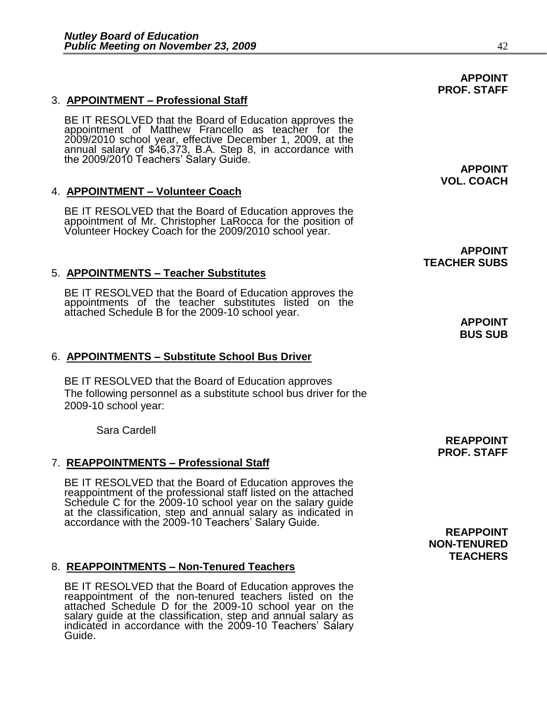# 3. **APPOINTMENT – Professional Staff**

BE IT RESOLVED that the Board of Education approves the appointment of Matthew Francello as teacher for the 2009/2010 school year, effective December 1, 2009, at the annual salary of \$46,373, B.A. Step 8, in accordance with the 2009/2010 Teachers' Salary Guide.

# 4. **APPOINTMENT – Volunteer Coach**

BE IT RESOLVED that the Board of Education approves the appointment of Mr. Christopher LaRocca for the position of Volunteer Hockey Coach for the 2009/2010 school year.

# 5. **APPOINTMENTS – Teacher Substitutes**

BE IT RESOLVED that the Board of Education approves the appointments of the teacher substitutes listed on the attached Schedule B for the 2009-10 school year.

# 6. **APPOINTMENTS – Substitute School Bus Driver**

BE IT RESOLVED that the Board of Education approves The following personnel as a substitute school bus driver for the 2009-10 school year:

Sara Cardell

# 7. **REAPPOINTMENTS – Professional Staff**

BE IT RESOLVED that the Board of Education approves the reappointment of the professional staff listed on the attached Schedule C for the 2009-10 school year on the salary guide at the classification, step and annual salary as indicated in accordance with the 2009-10 Teachers' Salary Guide.

#### 8. **REAPPOINTMENTS – Non-Tenured Teachers**

BE IT RESOLVED that the Board of Education approves the reappointment of the non-tenured teachers listed on the attached Schedule D for the 2009-10 school year on the salary guide at the classification, step and annual salary as indicated in accordance with the 2009-10 Teachers' Salary Guide.

**APPOINT VOL. COACH** 

**APPOINT TEACHER SUBS** 

> **APPOINT BUS SUB**

**REAPPOINT PROF. STAFF** 

**REAPPOINT NON-TENURED TEACHERS**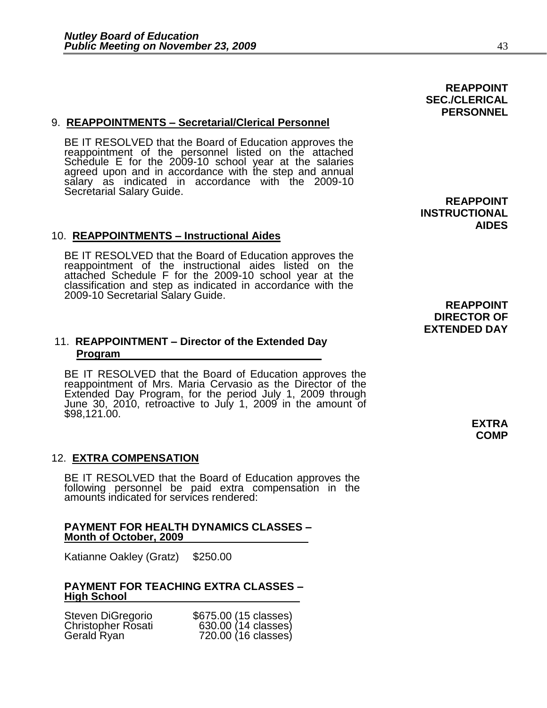# 9. **REAPPOINTMENTS – Secretarial/Clerical Personnel**

BE IT RESOLVED that the Board of Education approves the reappointment of the personnel listed on the attached Schedule E for the 2009-10 school year at the salaries agreed upon and in accordance with the step and annual salary as indicated in accordance with the 2009-10 Secrétarial Salary Guide.

### 10. **REAPPOINTMENTS – Instructional Aides**

BE IT RESOLVED that the Board of Education approves the reappointment of the instructional aides listed on the attached Schedule F for the 2009-10 school year at the classification and step as indicated in accordance with the 2009-10 Secretarial Salary Guide.

# 11. **REAPPOINTMENT – Director of the Extended Day Program**

BE IT RESOLVED that the Board of Education approves the reappointment of Mrs. Maria Cervasio as the Director of the Extended Day Program, for the period July 1, 2009 through June 30, 2010, retroactive to July 1, 2009 in the amount of \$98,121.00.

# 12. **EXTRA COMPENSATION**

BE IT RESOLVED that the Board of Education approves the following personnel be paid extra compensation in the amounts indicated for services rendered:

#### **PAYMENT FOR HEALTH DYNAMICS CLASSES – Month of October, 2009**

Katianne Oakley (Gratz) \$250.00

### **PAYMENT FOR TEACHING EXTRA CLASSES – High School**

| Steven DiGregorio         | \$675.00 (15 classes) |
|---------------------------|-----------------------|
| <b>Christopher Rosati</b> | 630.00 (14 classes)   |
| Gerald Ryan               | 720.00 (16 classes)   |

**REAPPOINT INSTRUCTIONAL AIDES** 

**REAPPOINT DIRECTOR OF EXTENDED DAY** 

 **EXTRA COMP** 

**REAPPOINT SEC./CLERICAL PERSONNEL**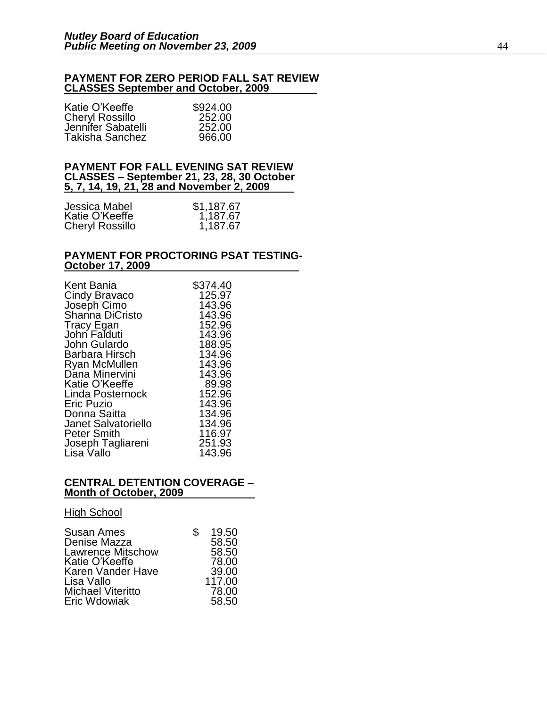#### **PAYMENT FOR ZERO PERIOD FALL SAT REVIEW CLASSES September and October, 2009**

| \$924.00 |
|----------|
| 252.00   |
| 252.00   |
| 966.00   |
|          |

#### **PAYMENT FOR FALL EVENING SAT REVIEW CLASSES – September 21, 23, 28, 30 October 5, 7, 14, 19, 21, 28 and November 2, 2009**

| Jessica Mabel          | \$1,187.67 |
|------------------------|------------|
| Katie O'Keeffe         | 1,187.67   |
| <b>Cheryl Rossillo</b> | 1,187.67   |

#### **PAYMENT FOR PROCTORING PSAT TESTING-October 17, 2009**

| Kent Bania<br>Cindy Bravaco    | \$374.40<br>125.97 |
|--------------------------------|--------------------|
| Joseph Cimo<br>Shanna DiCristo | 143.96<br>143.96   |
| Tracy Egan                     | 152.96             |
| John Falduti                   | 143.96             |
| John Gulardo                   | 188.95             |
| Barbara Hirsch                 | 134.96             |
| Ryan McMullen                  | 143.96             |
| Dana Minervini                 | 143.96             |
| Katie O'Keeffe                 | 89.98              |
| Linda Posternock               | 152.96             |
| <b>Eric Puzio</b>              | 143.96             |
| Donna Saitta                   | 134.96             |
| <b>Janet Salvatoriello</b>     | 134.96             |
| <b>Peter Smith</b>             | 116.97             |
| Joseph Tagliareni              | 251.93             |
| Lisa Vallo                     | 143.96             |

#### **CENTRAL DETENTION COVERAGE – Month of October, 2009**

#### **High School**

| 58.50  |
|--------|
| 58.50  |
| 78.00  |
| 39.00  |
| 117.00 |
| 78.00  |
| 58.50  |
|        |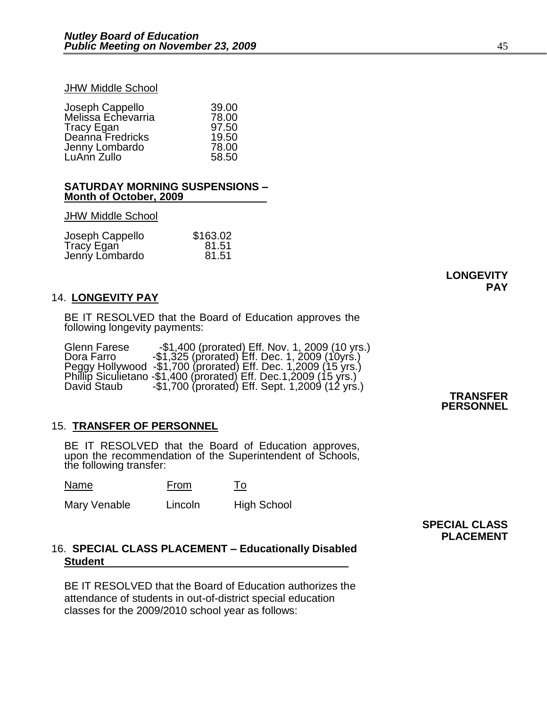#### JHW Middle School

| 39.00 |
|-------|
| 78.00 |
| 97.50 |
| 19.50 |
| 78.00 |
| 58.50 |
|       |

#### **SATURDAY MORNING SUSPENSIONS – Month of October, 2009**

#### JHW Middle School

| Joseph Cappello | \$163.02 |
|-----------------|----------|
| Tracy Egan      | 81.51    |
| Jenny Lombardo  | 81.51    |

# **LONGEVITY PAY**

### 14. **LONGEVITY PAY**

BE IT RESOLVED that the Board of Education approves the following longevity payments:

| Glenn Farese | $-$1,400$ (prorated) Eff. Nov. 1, 2009 (10 yrs.)                  |
|--------------|-------------------------------------------------------------------|
| Dora Farro   | $-$1,325$ (prorated) Eff. Dec. 1, 2009 (10yrs.)                   |
|              | Peggy Hollywood -\$1,700 (prorated) Eff. Dec. 1,2009 (15 yrs.)    |
|              | Phillip Siculietano -\$1,400 (prorated) Eff. Dec.1,2009 (15 yrs.) |
| David Staub  | $-$1,700$ (prorated) Eff. Sept. 1,2009 (12 yrs.)                  |

# 15. **TRANSFER OF PERSONNEL**

BE IT RESOLVED that the Board of Education approves, upon the recommendation of the Superintendent of Schools, the following transfer:

Name From To

Mary Venable Lincoln High School

# **SPECIAL CLASS PLACEMENT**

# 16. **SPECIAL CLASS PLACEMENT – Educationally Disabled Student**

BE IT RESOLVED that the Board of Education authorizes the attendance of students in out-of-district special education classes for the 2009/2010 school year as follows:

#### **TRANSFER PERSONNEL**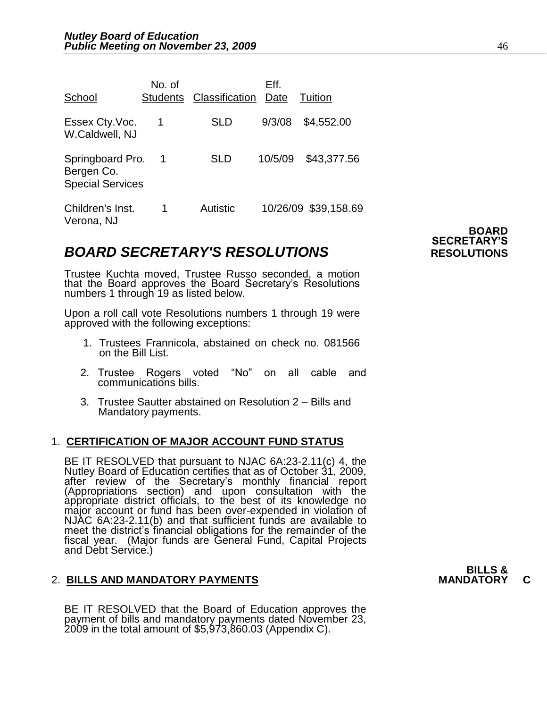| School                                                    | No. of<br><b>Students</b> | Classification | Eff.<br>Date | Tuition              |
|-----------------------------------------------------------|---------------------------|----------------|--------------|----------------------|
| Essex Cty. Voc.<br>W.Caldwell, NJ                         | 1                         | <b>SLD</b>     | 9/3/08       | \$4,552.00           |
| Springboard Pro.<br>Bergen Co.<br><b>Special Services</b> | -1                        | SLD            | 10/5/09      | \$43,377.56          |
| Children's Inst.<br>Verona, NJ                            | 1                         | Autistic       |              | 10/26/09 \$39,158.69 |

# **BOARD SECRETARY'S RESOLUTIONS** RESOLUTIONS

Trustee Kuchta moved, Trustee Russo seconded, a motion that the Board approves the Board Secretary's Resolutions numbers 1 through 19 as listed below.

Upon a roll call vote Resolutions numbers 1 through 19 were approved with the following exceptions:

- 1. Trustees Frannicola, abstained on check no. 081566 on the Bill List.
- 2. Trustee Rogers voted "No" on all cable and communications bills.
- 3. Trustee Sautter abstained on Resolution 2 Bills and Mandatory payments.

# 1. **CERTIFICATION OF MAJOR ACCOUNT FUND STATUS**

BE IT RESOLVED that pursuant to NJAC 6A:23-2.11(c) 4, the Nutley Board of Education certifies that as of October 31, 2009, after review of the Secretary's monthly financial report (Appropriations section) and upon consultation with the appropriate district officials, to the best of its knowledge no major account or fund has been over-expended in violation of NJAC 6A:23-2.11(b) and that sufficient funds are available to meet the district's financial obligations for the remainder of the fiscal year. (Major funds are General Fund, Capital Projects and Debt Service.)

# **2. BILLS AND MANDATORY PAYMENTS**

BE IT RESOLVED that the Board of Education approves the payment of bills and mandatory payments dated November 23, 2009 in the total amount of \$5,973,860.03 (Appendix C).

**BOARD SECRETARY'S**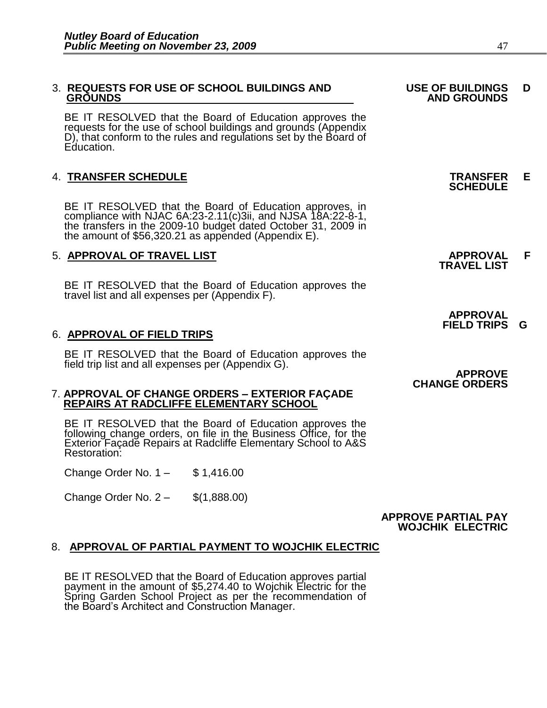#### 3. **REQUESTS FOR USE OF SCHOOL BUILDINGS AND USE OF BUILDINGS D**  REQUESTS FOR USE OF SCHOOL BUILDINGS AND USE OF BUILDINGS<br>GROUNDS AND GROUNDS

BE IT RESOLVED that the Board of Education approves the requests for the use of school buildings and grounds (Appendix D), that conform to the rules and regulations set by the Board of Education.

# 4. **TRANSFER SCHEDULE TRANSFER E**

 BE IT RESOLVED that the Board of Education approves, in compliance with NJAC 6A:23-2.11(c)3ii, and NJSA 18A:22-8-1, the transfers in the 2009-10 budget dated October 31, 2009 in the amount of \$56,320.21 as appended (Appendix E).

# 5. **APPROVAL OF TRAVEL LIST APPROVAL F**

BE IT RESOLVED that the Board of Education approves the travel list and all expenses per (Appendix F).

#### 6. **APPROVAL OF FIELD TRIPS**

BE IT RESOLVED that the Board of Education approves the field trip list and all expenses per (Appendix G).

#### 7. **APPROVAL OF CHANGE ORDERS – EXTERIOR FAÇADE REPAIRS AT RADCLIFFE ELEMENTARY SCHOOL**

BE IT RESOLVED that the Board of Education approves the following change orders, on file in the Business Office, for the Exterior Façade Repairs at Radcliffe Elementary School to A&S Restoration:

Change Order No. 1 – \$ 1,416.00

Change Order No. 2 – \$(1,888.00)

#### **APPROVE PARTIAL PAY WOJCHIK ELECTRIC**

#### 8. **APPROVAL OF PARTIAL PAYMENT TO WOJCHIK ELECTRIC**

BE IT RESOLVED that the Board of Education approves partial payment in the amount of \$5,274.40 to Wojchik Electric for the Spring Garden School Project as per the recommendation of the Board's Architect and Construction Manager.

**SCHEDULE** 

**TRAVEL LIST** 

 **APPROVAL FIELD TRIPS G** 

#### **APPROVE CHANGE ORDERS**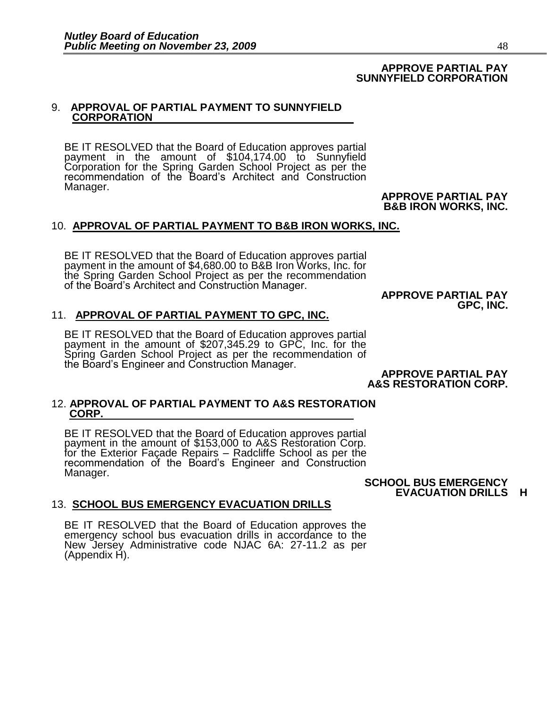# **APPROVE PARTIAL PAY SUNNYFIELD CORPORATION**

### 9. **APPROVAL OF PARTIAL PAYMENT TO SUNNYFIELD CORPORATION**

BE IT RESOLVED that the Board of Education approves partial payment in the amount of \$104,174.00 to Sunnyfield Corporation for the Spring Garden School Project as per the recommendation of the Board's Architect and Construction Manager.

**APPROVE PARTIAL PAY B&B IRON WORKS, INC.** 

# 10. **APPROVAL OF PARTIAL PAYMENT TO B&B IRON WORKS, INC.**

BE IT RESOLVED that the Board of Education approves partial payment in the amount of \$4,680.00 to B&B Iron Works, Inc. for the Spring Garden School Project as per the recommendation of the Board's Architect and Construction Manager.

#### **APPROVE PARTIAL PAY GPC, INC.**

# 11. **APPROVAL OF PARTIAL PAYMENT TO GPC, INC.**

BE IT RESOLVED that the Board of Education approves partial payment in the amount of \$207,345.29 to GPC, Inc. for the Spring Garden School Project as per the recommendation of the Board's Engineer and Construction Manager.

**APPROVE PARTIAL PAY A&S RESTORATION CORP.** 

#### 12. **APPROVAL OF PARTIAL PAYMENT TO A&S RESTORATION CORP.**

BE IT RESOLVED that the Board of Education approves partial payment in the amount of \$153,000 to A&S Restoration Corp. for the Exterior Façade Repairs – Radcliffe School as per the recommendation of the Board's Engineer and Construction Manager.

**SCHOOL BUS EMERGENCY EVACUATION DRILLS H** 

# 13. **SCHOOL BUS EMERGENCY EVACUATION DRILLS**

BE IT RESOLVED that the Board of Education approves the emergency school bus evacuation drills in accordance to the New Jersey Administrative code NJAC 6A: 27-11.2 as per (Appendix H).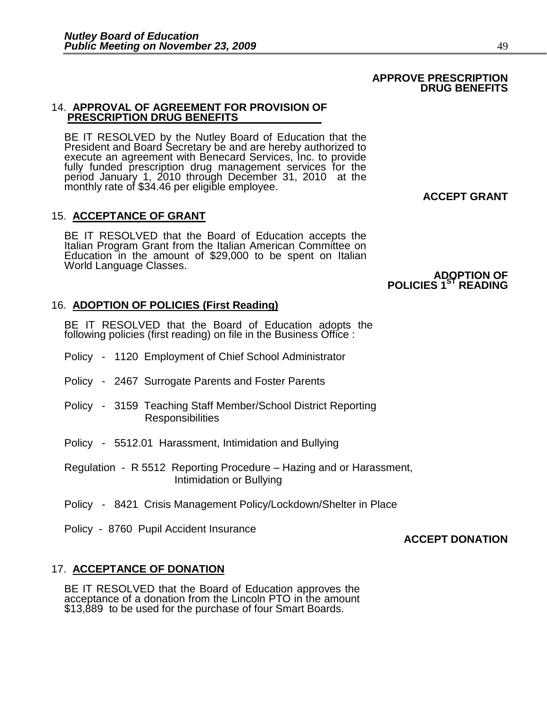#### 14. **APPROVAL OF AGREEMENT FOR PROVISION OF PRESCRIPTION DRUG BENEFITS**

BE IT RESOLVED by the Nutley Board of Education that the President and Board Secretary be and are hereby authorized to execute an agreement with Benecard Services, Inc. to provide fully funded prescription drug management services for the period January 1, 2010 through December 31, 2010 at the monthly rate of \$34.46 per eligible employee.

# 15. **ACCEPTANCE OF GRANT**

BE IT RESOLVED that the Board of Education accepts the Italian Program Grant from the Italian American Committee on Education in the amount of \$29,000 to be spent on Italian World Language Classes.

### **ADOPTION OF POLICIES 1ST READING**

#### 16. **ADOPTION OF POLICIES (First Reading)**

BE IT RESOLVED that the Board of Education adopts the following policies (first reading) on file in the Business Office :

- Policy 1120 Employment of Chief School Administrator
- Policy 2467 Surrogate Parents and Foster Parents
- Policy 3159 Teaching Staff Member/School District Reporting **Responsibilities**
- Policy 5512.01 Harassment, Intimidation and Bullying
- Regulation R 5512 Reporting Procedure Hazing and or Harassment, Intimidation or Bullying
- Policy 8421 Crisis Management Policy/Lockdown/Shelter in Place
- Policy 8760 Pupil Accident Insurance

# **ACCEPT DONATION**

#### 17. **ACCEPTANCE OF DONATION**

BE IT RESOLVED that the Board of Education approves the acceptance of a donation from the Lincoln PTO in the amount \$13,889 to be used for the purchase of four Smart Boards.

# **ACCEPT GRANT**

#### **APPROVE PRESCRIPTION DRUG BENEFITS**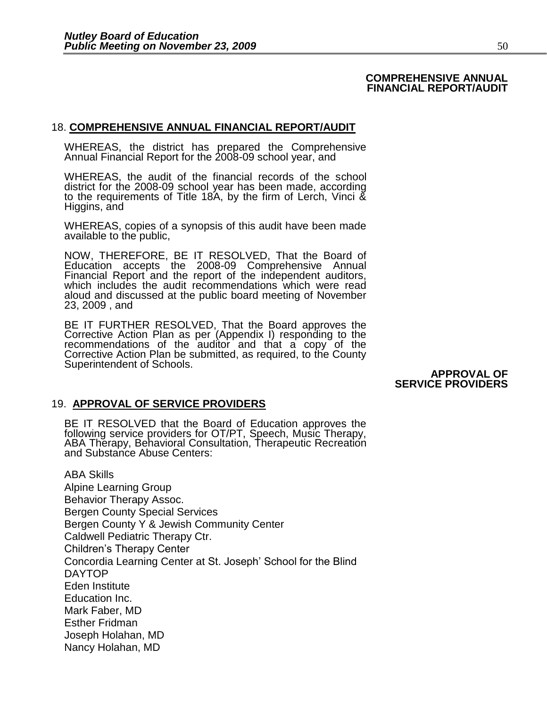#### **COMPREHENSIVE ANNUAL FINANCIAL REPORT/AUDIT**

### 18. **COMPREHENSIVE ANNUAL FINANCIAL REPORT/AUDIT**

WHEREAS, the district has prepared the Comprehensive Annual Financial Report for the 2008-09 school year, and

WHEREAS, the audit of the financial records of the school district for the 2008-09 school year has been made, according to the requirements of Title 18A, by the firm of Lerch, Vinci & Higgins, and

WHEREAS, copies of a synopsis of this audit have been made available to the public,

NOW, THEREFORE, BE IT RESOLVED, That the Board of Education accepts the 2008-09 Comprehensive Annual Financial Report and the report of the independent auditors, which includes the audit recommendations which were read aloud and discussed at the public board meeting of November 23, 2009 , and

BE IT FURTHER RESOLVED, That the Board approves the Corrective Action Plan as per (Appendix I) responding to the recommendations of the auditor and that a copy of the Corrective Action Plan be submitted, as required, to the County Superintendent of Schools.

**APPROVAL OF SERVICE PROVIDERS** 

# 19. **APPROVAL OF SERVICE PROVIDERS**

BE IT RESOLVED that the Board of Education approves the following service providers for OT/PT, Speech, Music Therapy, ABA Therapy, Behavioral Consultation, Therapeutic Recreation and Substance Abuse Centers:

ABA Skills Alpine Learning Group Behavior Therapy Assoc. Bergen County Special Services Bergen County Y & Jewish Community Center Caldwell Pediatric Therapy Ctr. Children's Therapy Center Concordia Learning Center at St. Joseph' School for the Blind DAYTOP Eden Institute Education Inc. Mark Faber, MD Esther Fridman Joseph Holahan, MD Nancy Holahan, MD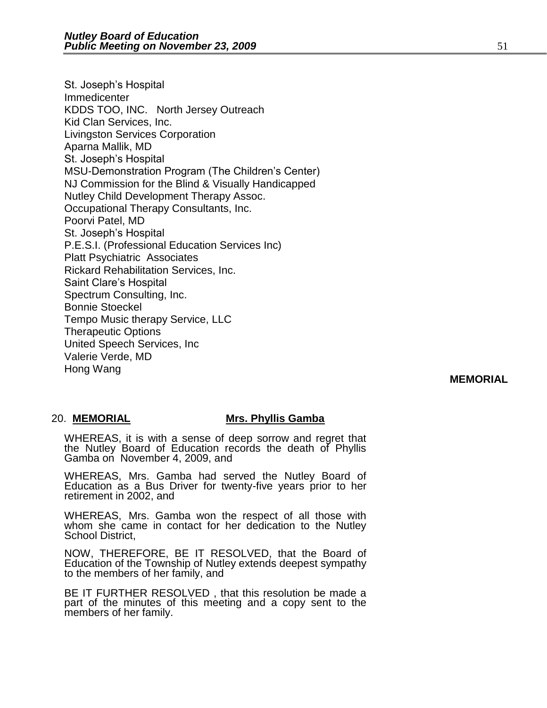St. Joseph's Hospital Immedicenter KDDS TOO, INC. North Jersey Outreach Kid Clan Services, Inc. Livingston Services Corporation Aparna Mallik, MD St. Joseph's Hospital MSU-Demonstration Program (The Children's Center) NJ Commission for the Blind & Visually Handicapped Nutley Child Development Therapy Assoc. Occupational Therapy Consultants, Inc. Poorvi Patel, MD St. Joseph's Hospital P.E.S.I. (Professional Education Services Inc) Platt Psychiatric Associates Rickard Rehabilitation Services, Inc. Saint Clare's Hospital Spectrum Consulting, Inc. Bonnie Stoeckel Tempo Music therapy Service, LLC Therapeutic Options United Speech Services, Inc Valerie Verde, MD Hong Wang

# **MEMORIAL**

#### 20. **MEMORIAL Mrs. Phyllis Gamba**

WHEREAS, it is with a sense of deep sorrow and regret that the Nutley Board of Education records the death of Phyllis Gamba on November 4, 2009, and

WHEREAS, Mrs. Gamba had served the Nutley Board of Education as a Bus Driver for twenty-five years prior to her retirement in 2002, and

WHEREAS, Mrs. Gamba won the respect of all those with whom she came in contact for her dedication to the Nutley School District,

NOW, THEREFORE, BE IT RESOLVED, that the Board of Education of the Township of Nutley extends deepest sympathy to the members of her family, and

BE IT FURTHER RESOLVED , that this resolution be made a part of the minutes of this meeting and a copy sent to the members of her family.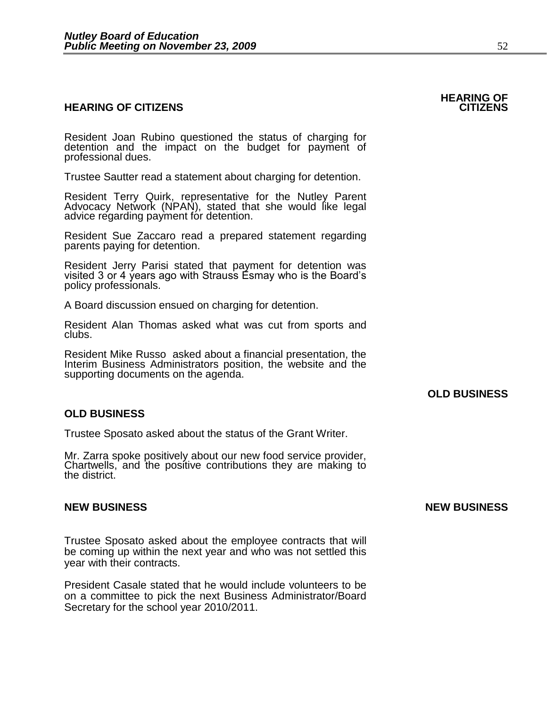#### **HEARING OF CITIZENS CITIZENS**

Resident Joan Rubino questioned the status of charging for detention and the impact on the budget for payment of professional dues.

Trustee Sautter read a statement about charging for detention.

Resident Terry Quirk, representative for the Nutley Parent Advocacy Network (NPAN), stated that she would like legal advice regarding payment for detention.

Resident Sue Zaccaro read a prepared statement regarding parents paying for detention.

Resident Jerry Parisi stated that payment for detention was visited 3 or 4 years ago with Strauss Esmay who is the Board's policy professionals.

A Board discussion ensued on charging for detention.

Resident Alan Thomas asked what was cut from sports and clubs.

Resident Mike Russo asked about a financial presentation, the Interim Business Administrators position, the website and the supporting documents on the agenda.

# **OLD BUSINESS**

# **OLD BUSINESS**

Trustee Sposato asked about the status of the Grant Writer.

Mr. Zarra spoke positively about our new food service provider, Chartwells, and the positive contributions they are making to the district.

Trustee Sposato asked about the employee contracts that will be coming up within the next year and who was not settled this year with their contracts.

President Casale stated that he would include volunteers to be on a committee to pick the next Business Administrator/Board Secretary for the school year 2010/2011.

# **NEW BUSINESS NEW BUSINESS**

# **HEARING OF**